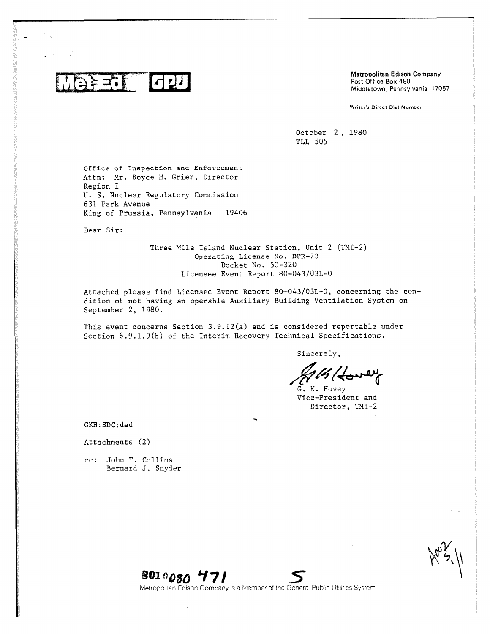$\blacksquare$ 

Metropolitan Edison Company Post Office Box 480 Middletown, Pennsylvania 17057

Writer's Direct Dial Number

October 2, 1980 TLL 505

Office of Inspection and Enforcement Attn: Mr. Boyce H. Grier, Director Region I U. S. Nuclear Regulatory Commission 631 Park Avenue King of Prussia, Pennsylvania 19406

Dear Sir:

Three Mile Island Nuclear Station, Unit 2 (TMI-2) Operating License No. DPR-73 Docket No. 50-320 Licensee Event Report 80-043/03L-0

Attached please find Licensee Event Report 80-043103L-0, concerning the condition of not having an operable Auxiliary Building Ventilation System on September 2, 1980.

This event concerns Section 3.9.12(a) and is considered reportable under Section 6.9.1.9(b) of the Interim Recovery Technical Specifications.

Sincerely,

G. K. Hovey Vice-President and Director, TMI-2

GKH:SDC:dad

### Attachments (2)

cc: John T. Collins Bernard J. Snyder

 $\aleph$  3')

**soioogo 17/** *5*

Metropolitan Edison Company is a Member of the General Public Utilities System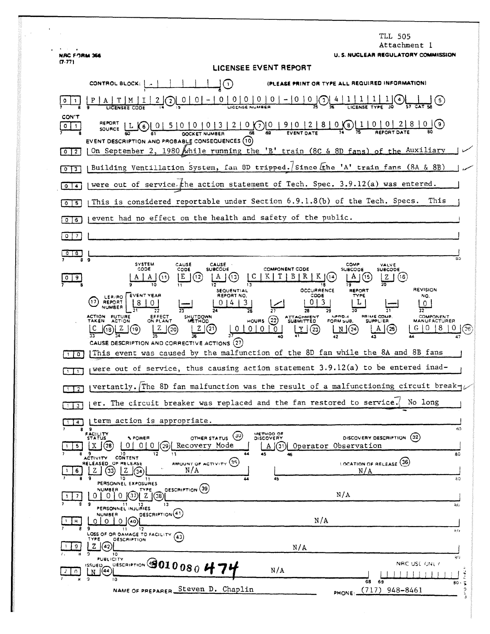|                                   | TLL 505<br>Attachment l                                                                                                                                                                                                                                                                                                                                                                                                              |
|-----------------------------------|--------------------------------------------------------------------------------------------------------------------------------------------------------------------------------------------------------------------------------------------------------------------------------------------------------------------------------------------------------------------------------------------------------------------------------------|
| <b>NRC FORM 366</b><br>(7.77)     | U. S. NUCLEAR REGULATORY COMMISSION<br>LICENSEE EVENT REPORT                                                                                                                                                                                                                                                                                                                                                                         |
|                                   | (PLEASE PRINT OR TYPE ALL REQUIRED INFORMATION)<br>CONTROL BLOCK: [<br>$\left( \cdot \right)$                                                                                                                                                                                                                                                                                                                                        |
| ٥                                 | $\underbrace{0 \mid 0 \mid 0 \mid 0}_{\text{License NUMBER}}$<br>$-10$<br>0.<br>0(3)(4)                                                                                                                                                                                                                                                                                                                                              |
| CON'T<br>011                      | $10151010101312100012181001218101218100000$<br>REPORT<br>L(6)<br>SOURCE<br>EVENT DESCRIPTION AND PROBABLE CONSEQUENCES (10)                                                                                                                                                                                                                                                                                                          |
| 0 <sup>12</sup>                   | On September 2, 1980 while running the 'B' train (8C & 8D fans) of the Auxiliary                                                                                                                                                                                                                                                                                                                                                     |
| 0 <sup>2</sup>                    | Building Ventillation System, fan 8D tripped. Since Lehe 'A' train fans (8A & 8B)                                                                                                                                                                                                                                                                                                                                                    |
| $0$ $\sqrt{4}$                    | were out of service. the action statement of Tech. Spec. 3.9.12(a) was entered.                                                                                                                                                                                                                                                                                                                                                      |
| $0$   5                           | This<br>This is considered reportable under Section 6.9.1.8(b) of the Tech. Specs.                                                                                                                                                                                                                                                                                                                                                   |
| $0$ $6$                           | event had no effect on the health and safety of the public.                                                                                                                                                                                                                                                                                                                                                                          |
| $0$   7                           |                                                                                                                                                                                                                                                                                                                                                                                                                                      |
| $\circ$   $\circ$<br>$\circ$<br>a | яo                                                                                                                                                                                                                                                                                                                                                                                                                                   |
| $0$   9                           | <b>SYSTEM</b><br>CAUSE<br>CAUSE<br>COMP.<br>VALVE<br>CODE<br><b>SUBCODE</b><br><b>COMPONENT CODE</b><br>CODE<br><b>SUBCODE</b><br><b>SUBCODE</b><br>BR<br>E<br>(16)<br>(11)<br>[12<br>Z<br>11<br><b>REVISION</b><br><b>OCCURRENCE</b><br>SEQUENTIAL<br>REPORT                                                                                                                                                                        |
|                                   | EVENT YEAR<br>REPORT NO.<br>COOS<br>TYPE<br>NO.<br>LER/RO<br>Ω<br>3<br>REPORT<br>$\mathbf 0$<br><b>NUMBER</b><br>30 <sup>2</sup><br>29<br>32<br><b>ACTION FUTURE</b><br>PRIME COMP.<br>EFFECT<br>ON PLANT<br>SHUTDOWN<br>NPRO-4<br>COMPONENT<br>ATTACHMENT<br>SUBMITTED<br>HOURS $(22)$<br><b>ACTION</b><br>FORM SUB.<br><b>SUPPLIER</b><br>TAKEN<br><b>MANUFACTURER</b><br><b>METHOD</b><br>$0 0 0$<br>(20)<br>(25<br>(23)<br>N(24) |
| $\circ$                           | CAUSE DESCRIPTION AND CORRECTIVE ACTIONS (27)<br>This event was caused by the malfunction of the 8D fan while the 8A and 8B fans                                                                                                                                                                                                                                                                                                     |
| $\mathbf{1}$                      | were out of service, thus causing action statement 3.9.12(a) to be entered inad-                                                                                                                                                                                                                                                                                                                                                     |
| $\overline{2}$<br>-11             | vertantly. The 8D fan malfunction was the result of a malfunctioning circuit break-                                                                                                                                                                                                                                                                                                                                                  |
| $\mathbf{3}$                      | No long<br>er. The circuit breaker was replaced and the fan restored to service.                                                                                                                                                                                                                                                                                                                                                     |
| i 4 I                             | term action is appropriate.<br>80                                                                                                                                                                                                                                                                                                                                                                                                    |
| 89<br>5.<br>9                     | FACILITY<br>STATUS<br>METHOD OF<br>DISCOVERY<br>(30)<br>DISCOVERY DESCRIPTION (32)<br><b>% POWER</b><br>OTHER STATUS<br>Recovery Mode<br>0 !<br>$01$ 0<br>(29)<br>Operator Observation<br>(28<br>(31)<br>X<br>A  <br>10<br>12<br>44<br>45<br>13<br>80                                                                                                                                                                                |
| 6.<br>۰                           | CONTENT<br>ACTIVITY.<br>LOCATION OF RELEASE (36)<br>AMOUNT OF ACTIVITY (35)<br>RELEASED OF RELEASE<br>N/A<br>33)<br>N/A<br>z<br>z<br>10<br>30<br>45<br>44<br>11                                                                                                                                                                                                                                                                      |
|                                   | PERSONNEL EXPOSURES<br>DESCRIPTION (39)<br>NUMBER<br>TYPE<br>N/A<br>Z<br>0.<br>U.<br>0<br>(38)<br>13                                                                                                                                                                                                                                                                                                                                 |
| 8<br>9                            | 20<br>PERSONNEL INJURIES<br>DESCRIPTION <sup>(41)</sup><br><b>NUMBER</b><br>N/A<br>$0$ $(40)$<br>$\Omega$<br>Ω<br>11<br>17                                                                                                                                                                                                                                                                                                           |
| 9                                 | 見行<br>LOSS OF OR DAMAGE TO FACILITY<br>(43)<br>TYPE<br><b>DESCRIPTION</b><br>$\mathbf{z}$<br>(42)<br>N/A<br>10                                                                                                                                                                                                                                                                                                                       |
| $\Omega$<br>$^{\circ}$            | ąО.<br><b>PUBLICITY</b><br>DESCRIPTION 3010080 H<br>NRC USE ONLY<br>issueb.<br>N/A<br>(44)<br>N<br>10                                                                                                                                                                                                                                                                                                                                |
|                                   | 68<br>69<br>80<br>$\tilde{\bullet}$<br>NAME OF PREPARER Steven D. Chaplin<br>$(717)$ 948-8461<br>٥<br>PHONE:                                                                                                                                                                                                                                                                                                                         |